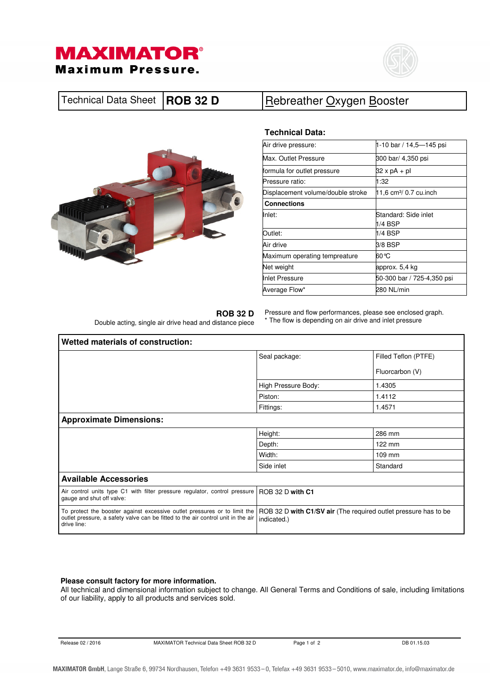



| Technical Data Sheet   ROB 32 D<br>Rebreather Oxygen Booster |
|--------------------------------------------------------------|
|--------------------------------------------------------------|



## **Technical Data:**

| Air drive pressure:               | 1-10 bar / 14,5—145 psi            |
|-----------------------------------|------------------------------------|
| Max. Outlet Pressure              | 300 bar/ 4,350 psi                 |
| formula for outlet pressure       | 32 x pA + pl                       |
| Pressure ratio:                   | 1:32                               |
| Displacement volume/double stroke | 11,6 cm <sup>3</sup> / 0.7 cu.inch |
| <b>Connections</b>                |                                    |
| Inlet:                            | Standard: Side inlet               |
|                                   | 1/4 BSP                            |
| Outlet:                           | 1/4 BSP                            |
| Air drive                         | 3/8 BSP                            |
| Maximum operating tempreature     | 60℃                                |
| Net weight                        | approx. 5,4 kg                     |
| Inlet Pressure                    | 50-300 bar / 725-4,350 psi         |
| Average Flow*                     | 280 NL/min                         |

**ROB 32 D** 

Double acting, single air drive head and distance piece

Pressure and flow performances, please see enclosed graph. \* The flow is depending on air drive and inlet pressure

| Wetted materials of construction:                                                                                                                                            |                                                                                |                                                             |  |  |  |  |  |  |
|------------------------------------------------------------------------------------------------------------------------------------------------------------------------------|--------------------------------------------------------------------------------|-------------------------------------------------------------|--|--|--|--|--|--|
|                                                                                                                                                                              | Seal package:                                                                  | Filled Teflon (PTFE)<br>Fluorcarbon (V)<br>1.4305<br>1.4112 |  |  |  |  |  |  |
|                                                                                                                                                                              |                                                                                |                                                             |  |  |  |  |  |  |
|                                                                                                                                                                              | High Pressure Body:                                                            |                                                             |  |  |  |  |  |  |
|                                                                                                                                                                              | Piston:                                                                        |                                                             |  |  |  |  |  |  |
|                                                                                                                                                                              | Fittings:                                                                      | 1.4571                                                      |  |  |  |  |  |  |
| <b>Approximate Dimensions:</b>                                                                                                                                               |                                                                                |                                                             |  |  |  |  |  |  |
|                                                                                                                                                                              | Height:                                                                        | 286 mm                                                      |  |  |  |  |  |  |
|                                                                                                                                                                              | Depth:                                                                         | 122 mm                                                      |  |  |  |  |  |  |
|                                                                                                                                                                              | Width:                                                                         | 109 mm                                                      |  |  |  |  |  |  |
|                                                                                                                                                                              | Side inlet                                                                     | Standard                                                    |  |  |  |  |  |  |
| <b>Available Accessories</b>                                                                                                                                                 |                                                                                |                                                             |  |  |  |  |  |  |
| Air control units type C1 with filter pressure regulator, control pressure<br>gauge and shut off valve:                                                                      | ROB 32 D with C1                                                               |                                                             |  |  |  |  |  |  |
| To protect the booster against excessive outlet pressures or to limit the<br>outlet pressure, a safety valve can be fitted to the air control unit in the air<br>drive line: | ROB 32 D with C1/SV air (The required outlet pressure has to be<br>indicated.) |                                                             |  |  |  |  |  |  |

### **Please consult factory for more information.**

All technical and dimensional information subject to change. All General Terms and Conditions of sale, including limitations of our liability, apply to all products and services sold.